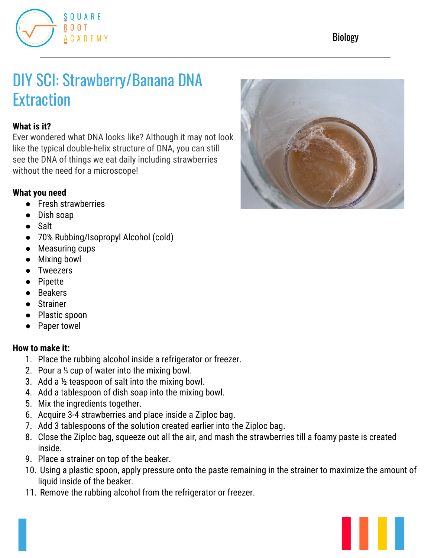

# DIY SCI: Strawberry/Banana DNA **Extraction**

## **What is it?**

Ever wondered what DNA looks like? Although it may not look like the typical double-helix structure of DNA, you can still see the DNA of things we eat daily including strawberries without the need for a microscope!

#### **What you need**

- Fresh strawberries
- Dish soap
- Salt
- 70% Rubbing/Isopropyl Alcohol (cold)
- Measuring cups
- Mixing bowl
- Tweezers
- Pipette
- Beakers
- Strainer
- Plastic spoon
- Paper towel

#### **How to make it:**

- 1. Place the rubbing alcohol inside a refrigerator or freezer.
- 2. Pour a ⅓ cup of water into the mixing bowl.
- 3. Add a ½ teaspoon of salt into the mixing bowl.
- 4. Add a tablespoon of dish soap into the mixing bowl.
- 5. Mix the ingredients together.
- 6. Acquire 3-4 strawberries and place inside a Ziploc bag.
- 7. Add 3 tablespoons of the solution created earlier into the Ziploc bag.
- 8. Close the Ziploc bag, squeeze out all the air, and mash the strawberries till a foamy paste is created inside.
- 9. Place a strainer on top of the beaker.
- 10. Using a plastic spoon, apply pressure onto the paste remaining in the strainer to maximize the amount of liquid inside of the beaker.
- 11. Remove the rubbing alcohol from the refrigerator or freezer.